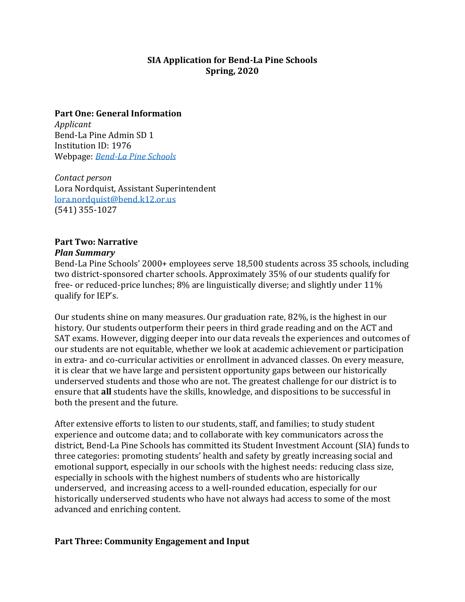### **SIA Application for Bend-La Pine Schools Spring, 2020**

#### **Part One: General Information**

*Applicant* Bend-La Pine Admin SD 1 Institution ID: 1976 Webpage: *[Bend-La Pine Schools](https://www.bend.k12.or.us/district/)*

*Contact person* Lora Nordquist, Assistant Superintendent [lora.nordquist@bend.k12.or.us](mailto:lora.nordquist@bend.k12.or.us) (541) 355-1027

# **Part Two: Narrative**

#### *Plan Summary*

Bend-La Pine Schools' 2000+ employees serve 18,500 students across 35 schools, including two district-sponsored charter schools. Approximately 35% of our students qualify for free- or reduced-price lunches; 8% are linguistically diverse; and slightly under 11% qualify for IEP's.

Our students shine on many measures. Our graduation rate, 82%, is the highest in our history. Our students outperform their peers in third grade reading and on the ACT and SAT exams. However, digging deeper into our data reveals the experiences and outcomes of our students are not equitable, whether we look at academic achievement or participation in extra- and co-curricular activities or enrollment in advanced classes. On every measure, it is clear that we have large and persistent opportunity gaps between our historically underserved students and those who are not. The greatest challenge for our district is to ensure that **all** students have the skills, knowledge, and dispositions to be successful in both the present and the future.

After extensive efforts to listen to our students, staff, and families; to study student experience and outcome data; and to collaborate with key communicators across the district, Bend-La Pine Schools has committed its Student Investment Account (SIA) funds to three categories: promoting students' health and safety by greatly increasing social and emotional support, especially in our schools with the highest needs: reducing class size, especially in schools with the highest numbers of students who are historically underserved, and increasing access to a well-rounded education, especially for our historically underserved students who have not always had access to some of the most advanced and enriching content.

# **Part Three: Community Engagement and Input**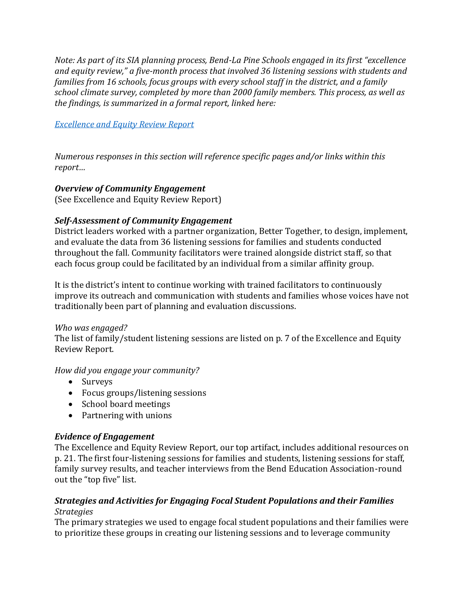*Note: As part of its SIA planning process, Bend-La Pine Schools engaged in its first "excellence and equity review," a five-month process that involved 36 listening sessions with students and families from 16 schools, focus groups with every school staff in the district, and a family school climate survey, completed by more than 2000 family members. This process, as well as the findings, is summarized in a formal report, linked here:* 

#### *[Excellence and Equity Review Report](https://cloud.3dissue.net/20105/20148/20308/24178/index.html)*

*Numerous responses in this section will reference specific pages and/or links within this report…*

### *Overview of Community Engagement*

(See Excellence and Equity Review Report)

## *Self-Assessment of Community Engagement*

District leaders worked with a partner organization, Better Together, to design, implement, and evaluate the data from 36 listening sessions for families and students conducted throughout the fall. Community facilitators were trained alongside district staff, so that each focus group could be facilitated by an individual from a similar affinity group.

It is the district's intent to continue working with trained facilitators to continuously improve its outreach and communication with students and families whose voices have not traditionally been part of planning and evaluation discussions.

### *Who was engaged?*

The list of family/student listening sessions are listed on p. 7 of the Excellence and Equity Review Report.

### *How did you engage your community?*

- Surveys
- Focus groups/listening sessions
- School board meetings
- Partnering with unions

### *Evidence of Engagement*

The Excellence and Equity Review Report, our top artifact, includes additional resources on p. 21. The first four-listening sessions for families and students, listening sessions for staff, family survey results, and teacher interviews from the Bend Education Association-round out the "top five" list.

#### *Strategies and Activities for Engaging Focal Student Populations and their Families Strategies*

The primary strategies we used to engage focal student populations and their families were to prioritize these groups in creating our listening sessions and to leverage community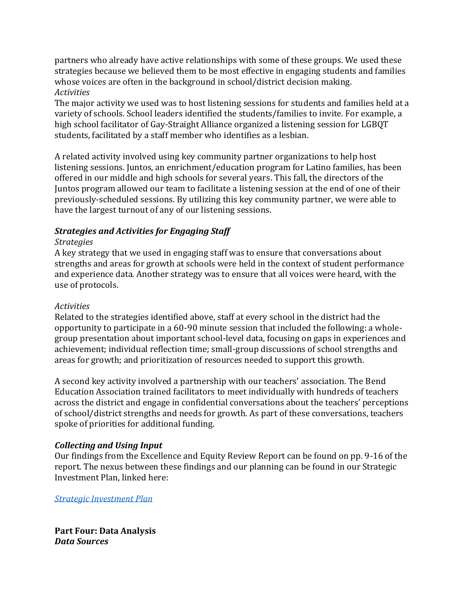partners who already have active relationships with some of these groups. We used these strategies because we believed them to be most effective in engaging students and families whose voices are often in the background in school/district decision making. *Activities*

The major activity we used was to host listening sessions for students and families held at a variety of schools. School leaders identified the students/families to invite. For example, a high school facilitator of Gay-Straight Alliance organized a listening session for LGBQT students, facilitated by a staff member who identifies as a lesbian.

A related activity involved using key community partner organizations to help host listening sessions. Juntos, an enrichment/education program for Latino families, has been offered in our middle and high schools for several years. This fall, the directors of the Juntos program allowed our team to facilitate a listening session at the end of one of their previously-scheduled sessions. By utilizing this key community partner, we were able to have the largest turnout of any of our listening sessions.

## *Strategies and Activities for Engaging Staff*

#### *Strategies*

A key strategy that we used in engaging staff was to ensure that conversations about strengths and areas for growth at schools were held in the context of student performance and experience data. Another strategy was to ensure that all voices were heard, with the use of protocols.

#### *Activities*

Related to the strategies identified above, staff at every school in the district had the opportunity to participate in a 60-90 minute session that included the following: a wholegroup presentation about important school-level data, focusing on gaps in experiences and achievement; individual reflection time; small-group discussions of school strengths and areas for growth; and prioritization of resources needed to support this growth.

A second key activity involved a partnership with our teachers' association. The Bend Education Association trained facilitators to meet individually with hundreds of teachers across the district and engage in confidential conversations about the teachers' perceptions of school/district strengths and needs for growth. As part of these conversations, teachers spoke of priorities for additional funding.

### *Collecting and Using Input*

Our findings from the Excellence and Equity Review Report can be found on pp. 9-16 of the report. The nexus between these findings and our planning can be found in our Strategic Investment Plan, linked here:

*[Strategic Investment Plan](https://cloud.3dissue.net/20105/20148/20308/26134/index.html)*

**Part Four: Data Analysis** *Data Sources*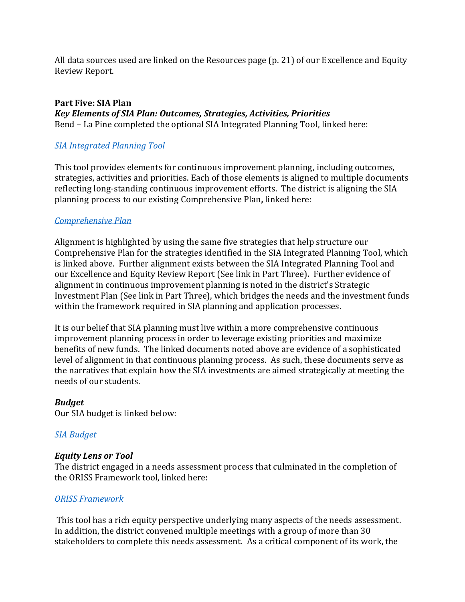All data sources used are linked on the Resources page (p. 21) of our Excellence and Equity Review Report.

# **Part Five: SIA Plan**

*Key Elements of SIA Plan: Outcomes, Strategies, Activities, Priorities* Bend – La Pine completed the optional SIA Integrated Planning Tool, linked here:

## *[SIA Integrated Planning Tool](https://drive.google.com/file/d/10kATbXtuLlWcf8QttntjwFSFkO_ixfdA/view?usp=sharing)*

This tool provides elements for continuous improvement planning, including outcomes, strategies, activities and priorities. Each of those elements is aligned to multiple documents reflecting long-standing continuous improvement efforts. The district is aligning the SIA planning process to our existing Comprehensive Plan**,** linked here:

### *[Comprehensive Plan](https://spark.adobe.com/page/s3qZFhmKFRZtB/)*

Alignment is highlighted by using the same five strategies that help structure our Comprehensive Plan for the strategies identified in the SIA Integrated Planning Tool, which is linked above. Further alignment exists between the SIA Integrated Planning Tool and our Excellence and Equity Review Report (See link in Part Three)**.** Further evidence of alignment in continuous improvement planning is noted in the district's Strategic Investment Plan (See link in Part Three), which bridges the needs and the investment funds within the framework required in SIA planning and application processes.

It is our belief that SIA planning must live within a more comprehensive continuous improvement planning process in order to leverage existing priorities and maximize benefits of new funds. The linked documents noted above are evidence of a sophisticated level of alignment in that continuous planning process. As such, these documents serve as the narratives that explain how the SIA investments are aimed strategically at meeting the needs of our students.

### *Budget*

Our SIA budget is linked below:

### *[SIA Budget](https://drive.google.com/file/d/1tt-wQMTLKnVcLtJ7BvOj2lNKlXk9dOsM/view?usp=sharing)*

### *Equity Lens or Tool*

The district engaged in a needs assessment process that culminated in the completion of the ORISS Framework tool, linked here:

### *[ORISS Framework](https://drive.google.com/file/d/1PFgHmjeWcGl-AjnJeYd2td45kcgazcP4/view?usp=sharing)*

This tool has a rich equity perspective underlying many aspects of the needs assessment. In addition, the district convened multiple meetings with a group of more than 30 stakeholders to complete this needs assessment. As a critical component of its work, the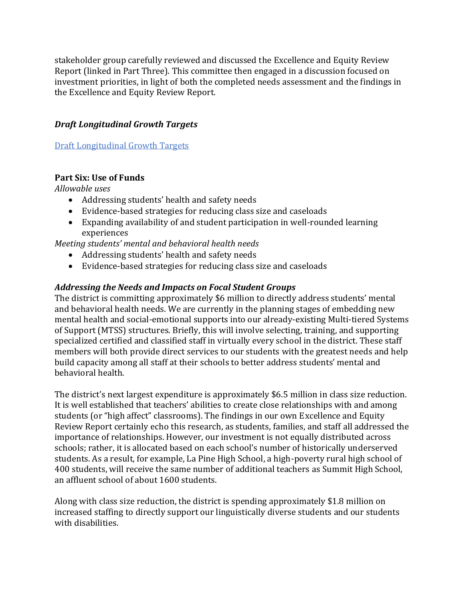stakeholder group carefully reviewed and discussed the Excellence and Equity Review Report (linked in Part Three). This committee then engaged in a discussion focused on investment priorities, in light of both the completed needs assessment and the findings in the Excellence and Equity Review Report.

## *Draft Longitudinal Growth Targets*

[Draft Longitudinal Growth Targets](https://drive.google.com/file/d/1kLfdRbRvxgOWqlpBWKjbx-qb6yqGpYoT/view?usp=sharing)

## **Part Six: Use of Funds**

*Allowable uses*

- Addressing students' health and safety needs
- Evidence-based strategies for reducing class size and caseloads
- Expanding availability of and student participation in well-rounded learning experiences

*Meeting students' mental and behavioral health needs*

- Addressing students' health and safety needs
- Evidence-based strategies for reducing class size and caseloads

## *Addressing the Needs and Impacts on Focal Student Groups*

The district is committing approximately \$6 million to directly address students' mental and behavioral health needs. We are currently in the planning stages of embedding new mental health and social-emotional supports into our already-existing Multi-tiered Systems of Support (MTSS) structures. Briefly, this will involve selecting, training, and supporting specialized certified and classified staff in virtually every school in the district. These staff members will both provide direct services to our students with the greatest needs and help build capacity among all staff at their schools to better address students' mental and behavioral health.

The district's next largest expenditure is approximately \$6.5 million in class size reduction. It is well established that teachers' abilities to create close relationships with and among students (or "high affect" classrooms). The findings in our own Excellence and Equity Review Report certainly echo this research, as students, families, and staff all addressed the importance of relationships. However, our investment is not equally distributed across schools; rather, it is allocated based on each school's number of historically underserved students. As a result, for example, La Pine High School, a high-poverty rural high school of 400 students, will receive the same number of additional teachers as Summit High School, an affluent school of about 1600 students.

Along with class size reduction, the district is spending approximately \$1.8 million on increased staffing to directly support our linguistically diverse students and our students with disabilities.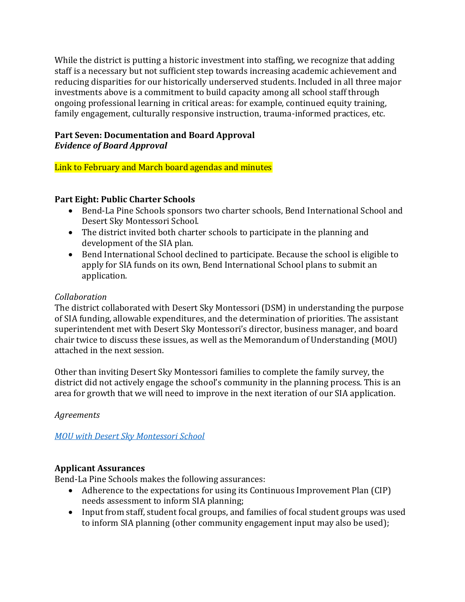While the district is putting a historic investment into staffing, we recognize that adding staff is a necessary but not sufficient step towards increasing academic achievement and reducing disparities for our historically underserved students. Included in all three major investments above is a commitment to build capacity among all school staff through ongoing professional learning in critical areas: for example, continued equity training, family engagement, culturally responsive instruction, trauma-informed practices, etc.

# **Part Seven: Documentation and Board Approval** *Evidence of Board Approval*

Link to February and March board agendas and minutes

# **Part Eight: Public Charter Schools**

- Bend-La Pine Schools sponsors two charter schools, Bend International School and Desert Sky Montessori School.
- The district invited both charter schools to participate in the planning and development of the SIA plan.
- Bend International School declined to participate. Because the school is eligible to apply for SIA funds on its own, Bend International School plans to submit an application.

# *Collaboration*

The district collaborated with Desert Sky Montessori (DSM) in understanding the purpose of SIA funding, allowable expenditures, and the determination of priorities. The assistant superintendent met with Desert Sky Montessori's director, business manager, and board chair twice to discuss these issues, as well as the Memorandum of Understanding (MOU) attached in the next session.

Other than inviting Desert Sky Montessori families to complete the family survey, the district did not actively engage the school's community in the planning process. This is an area for growth that we will need to improve in the next iteration of our SIA application.

*Agreements*

*[MOU with Desert Sky Montessori School](https://drive.google.com/file/d/1yLAl-00hdvE6F5IYtzdGAeSwy6HnjzkI/view?usp=sharing)*

# **Applicant Assurances**

Bend-La Pine Schools makes the following assurances:

- Adherence to the expectations for using its Continuous Improvement Plan (CIP) needs assessment to inform SIA planning;
- Input from staff, student focal groups, and families of focal student groups was used to inform SIA planning (other community engagement input may also be used);